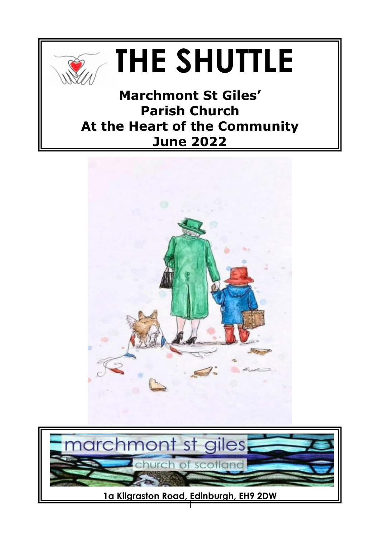

## **THE SHUTTLE**

**Marchmont St Giles' Parish Church At the Heart of the Community June 2022**



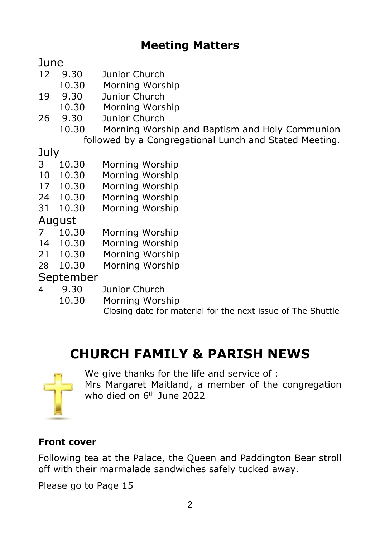#### **Meeting Matters**

**June** 

- 12 9.30 Junior Church
- 10.30 Morning Worship
- 19 9.30 Junior Church
- 10.30 Morning Worship
- 26 9.30 Junior Church
	- 10.30 Morning Worship and Baptism and Holy Communion followed by a Congregational Lunch and Stated Meeting.

July

- 3 10.30 Morning Worship
- 10 10.30 Morning Worship
- 17 10.30 Morning Worship
- 24 10.30 Morning Worship
- 31 10.30 Morning Worship

August

- 7 10.30 Morning Worship
- 14 10.30 Morning Worship
- 21 10.30 Morning Worship
- 28 10.30 Morning Worship

September

- 4 9.30 Junior Church
	- 10.30 Morning Worship Closing date for material for the next issue of The Shuttle

#### **CHURCH FAMILY & PARISH NEWS**



We give thanks for the life and service of :

Mrs Margaret Maitland, a member of the congregation who died on 6<sup>th</sup> June 2022

#### **Front cover**

Following tea at the Palace, the Queen and Paddington Bear stroll off with their marmalade sandwiches safely tucked away.

Please go to Page 15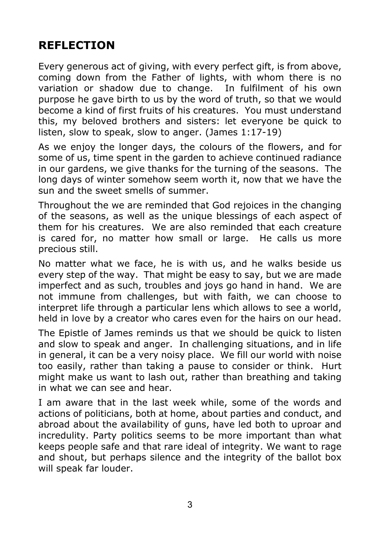#### **REFLECTION**

Every generous act of giving, with every perfect gift, is from above, coming down from the Father of lights, with whom there is no variation or shadow due to change. In fulfilment of his own purpose he gave birth to us by the word of truth, so that we would become a kind of first fruits of his creatures. You must understand this, my beloved brothers and sisters: let everyone be quick to listen, slow to speak, slow to anger. (James 1:17-19)

As we enjoy the longer days, the colours of the flowers, and for some of us, time spent in the garden to achieve continued radiance in our gardens, we give thanks for the turning of the seasons. The long days of winter somehow seem worth it, now that we have the sun and the sweet smells of summer.

Throughout the we are reminded that God rejoices in the changing of the seasons, as well as the unique blessings of each aspect of them for his creatures. We are also reminded that each creature is cared for, no matter how small or large. He calls us more precious still.

No matter what we face, he is with us, and he walks beside us every step of the way. That might be easy to say, but we are made imperfect and as such, troubles and joys go hand in hand. We are not immune from challenges, but with faith, we can choose to interpret life through a particular lens which allows to see a world, held in love by a creator who cares even for the hairs on our head.

The Epistle of James reminds us that we should be quick to listen and slow to speak and anger. In challenging situations, and in life in general, it can be a very noisy place. We fill our world with noise too easily, rather than taking a pause to consider or think. Hurt might make us want to lash out, rather than breathing and taking in what we can see and hear.

I am aware that in the last week while, some of the words and actions of politicians, both at home, about parties and conduct, and abroad about the availability of guns, have led both to uproar and incredulity. Party politics seems to be more important than what keeps people safe and that rare ideal of integrity. We want to rage and shout, but perhaps silence and the integrity of the ballot box will speak far louder.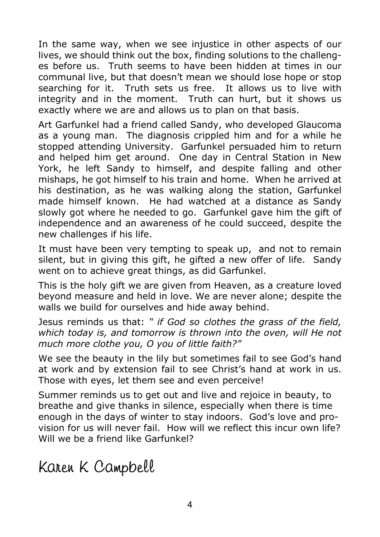In the same way, when we see injustice in other aspects of our lives, we should think out the box, finding solutions to the challenges before us. Truth seems to have been hidden at times in our communal live, but that doesn't mean we should lose hope or stop searching for it. Truth sets us free. It allows us to live with integrity and in the moment. Truth can hurt, but it shows us exactly where we are and allows us to plan on that basis.

Art Garfunkel had a friend called Sandy, who developed Glaucoma as a young man. The diagnosis crippled him and for a while he stopped attending University. Garfunkel persuaded him to return and helped him get around. One day in Central Station in New York, he left Sandy to himself, and despite falling and other mishaps, he got himself to his train and home. When he arrived at his destination, as he was walking along the station, Garfunkel made himself known. He had watched at a distance as Sandy slowly got where he needed to go. Garfunkel gave him the gift of independence and an awareness of he could succeed, despite the new challenges if his life.

It must have been very tempting to speak up, and not to remain silent, but in giving this gift, he gifted a new offer of life. Sandy went on to achieve great things, as did Garfunkel.

This is the holy gift we are given from Heaven, as a creature loved beyond measure and held in love. We are never alone; despite the walls we build for ourselves and hide away behind.

Jesus reminds us that: *" if God so clothes the grass of the field, which today is, and tomorrow is thrown into the oven, will He not much more clothe you, O you of little faith?"*

We see the beauty in the lily but sometimes fail to see God's hand at work and by extension fail to see Christ's hand at work in us. Those with eyes, let them see and even perceive!

Summer reminds us to get out and live and rejoice in beauty, to breathe and give thanks in silence, especially when there is time enough in the days of winter to stay indoors. God's love and provision for us will never fail. How will we reflect this incur own life? Will we be a friend like Garfunkel?

Karen K Campbell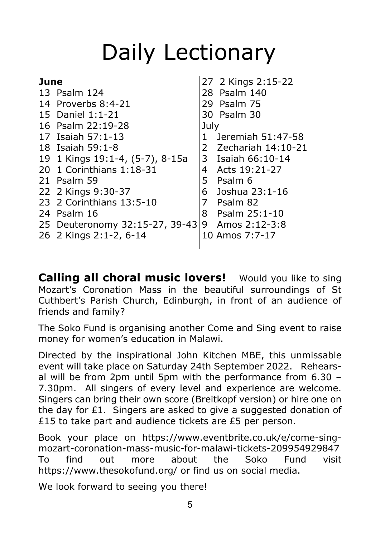### Daily Lectionary

| June |                                 |              | 27 2 Kings 2:15-22   |
|------|---------------------------------|--------------|----------------------|
|      | 13 Psalm 124                    |              | 28 Psalm 140         |
|      | 14 Proverbs 8:4-21              |              | 29 Psalm 75          |
|      | 15 Daniel 1:1-21                |              | 30 Psalm 30          |
|      | 16 Psalm 22:19-28               | July         |                      |
|      | 17 Isaiah 57:1-13               | $\mathbf{1}$ | Jeremiah 51:47-58    |
|      | 18 Isaiah 59:1-8                |              | 2 Zechariah 14:10-21 |
|      | 19 1 Kings 19:1-4, (5-7), 8-15a |              | 3 Isaiah 66:10-14    |
|      | 20 1 Corinthians 1:18-31        |              | 4 Acts 19:21-27      |
|      | 21 Psalm 59                     | 5.           | Psalm 6              |
|      | 22 2 Kings 9:30-37              |              | 6 Joshua 23:1-16     |
|      | 23 2 Corinthians 13:5-10        | 7            | Psalm 82             |
|      | 24 Psalm 16                     |              | 8 Psalm 25:1-10      |
|      | 25 Deuteronomy 32:15-27, 39-43  | 9            | Amos 2:12-3:8        |
|      | 26 2 Kings 2:1-2, 6-14          |              | 10 Amos 7:7-17       |
|      |                                 |              |                      |

**Calling all choral music lovers!** Would you like to sing Mozart's Coronation Mass in the beautiful surroundings of St Cuthbert's Parish Church, Edinburgh, in front of an audience of friends and family?

The Soko Fund is organising another Come and Sing event to raise money for women's education in Malawi.

Directed by the inspirational John Kitchen MBE, this unmissable event will take place on Saturday 24th September 2022. Rehearsal will be from 2pm until 5pm with the performance from 6.30 – 7.30pm. All singers of every level and experience are welcome. Singers can bring their own score (Breitkopf version) or hire one on the day for £1. Singers are asked to give a suggested donation of £15 to take part and audience tickets are £5 per person.

Book your place on https://www.eventbrite.co.uk/e/come-singmozart-coronation-mass-music-for-malawi-tickets-209954929847 To find out more about the Soko Fund visit https://www.thesokofund.org/ or find us on social media.

We look forward to seeing you there!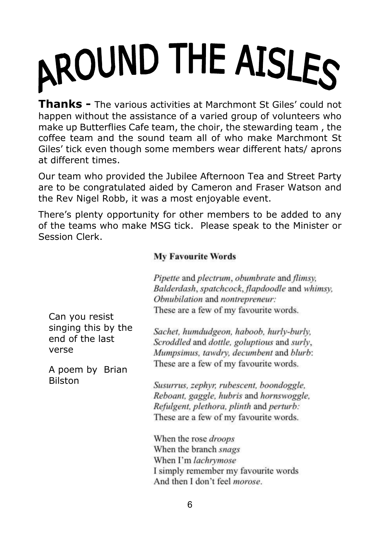# AROUND THE AISLES

**Thanks -** The various activities at Marchmont St Giles' could not happen without the assistance of a varied group of volunteers who make up Butterflies Cafe team, the choir, the stewarding team , the coffee team and the sound team all of who make Marchmont St Giles' tick even though some members wear different hats/ aprons at different times.

Our team who provided the Jubilee Afternoon Tea and Street Party are to be congratulated aided by Cameron and Fraser Watson and the Rev Nigel Robb, it was a most enjoyable event.

There's plenty opportunity for other members to be added to any of the teams who make MSG tick. Please speak to the Minister or Session Clerk.

#### **My Favourite Words**

|                     | Pipette and plectrum, obumbrate and flimsy,    |
|---------------------|------------------------------------------------|
|                     | Balderdash, spatchcock, flapdoodle and whimsy, |
|                     | Obnubilation and nontrepreneur:                |
| Can you resist      | These are a few of my favourite words.         |
| singing this by the | Sachet, humdudgeon, haboob, hurly-burly,       |
| end of the last     | Scroddled and dottle, goluptious and surly,    |
| verse               | Mumpsimus, tawdry, decumbent and blurb:        |
| A poem by Brian     | These are a few of my favourite words.         |
| Bilston             | Susurrus, zephyr, rubescent, boondoggle,       |
|                     | Reboant, gaggle, hubris and hornswoggle,       |
|                     | Refulgent, plethora, plinth and perturb:       |
|                     | These are a few of my favourite words.         |
|                     | When the rose <i>droops</i>                    |
|                     | When the branch snags                          |
|                     | When I'm lachrymose                            |
|                     | I simply remember my favourite words           |
|                     | And then I don't feel <i>morose</i> .          |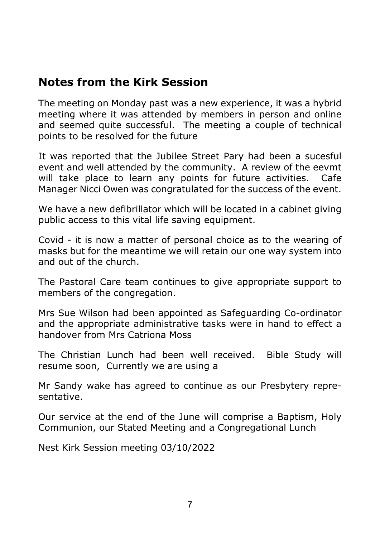#### **Notes from the Kirk Session**

The meeting on Monday past was a new experience, it was a hybrid meeting where it was attended by members in person and online and seemed quite successful. The meeting a couple of technical points to be resolved for the future

It was reported that the Jubilee Street Pary had been a sucesful event and well attended by the community. A review of the eevmt will take place to learn any points for future activities. Cafe Manager Nicci Owen was congratulated for the success of the event.

We have a new defibrillator which will be located in a cabinet giving public access to this vital life saving equipment.

Covid - it is now a matter of personal choice as to the wearing of masks but for the meantime we will retain our one way system into and out of the church.

The Pastoral Care team continues to give appropriate support to members of the congregation.

Mrs Sue Wilson had been appointed as Safeguarding Co-ordinator and the appropriate administrative tasks were in hand to effect a handover from Mrs Catriona Moss

The Christian Lunch had been well received. Bible Study will resume soon, Currently we are using a

Mr Sandy wake has agreed to continue as our Presbytery representative.

Our service at the end of the June will comprise a Baptism, Holy Communion, our Stated Meeting and a Congregational Lunch

Nest Kirk Session meeting 03/10/2022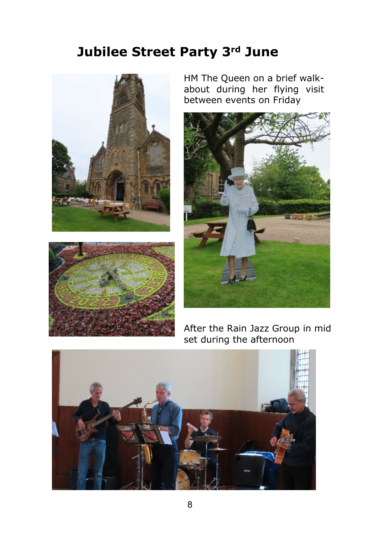#### **Jubilee Street Party 3rd June**





HM The Queen on a brief walkabout during her flying visit between events on Friday



After the Rain Jazz Group in mid set during the afternoon

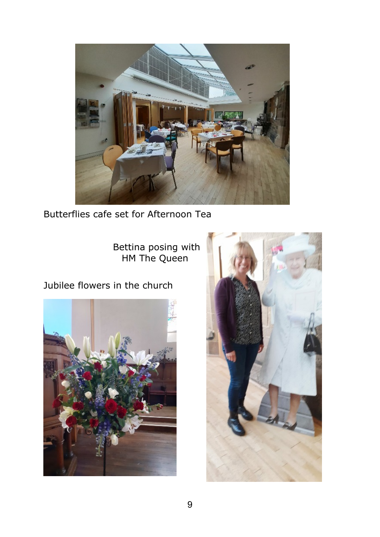

Butterflies cafe set for Afternoon Tea

 Bettina posing with HM The Queen

Jubilee flowers in the church



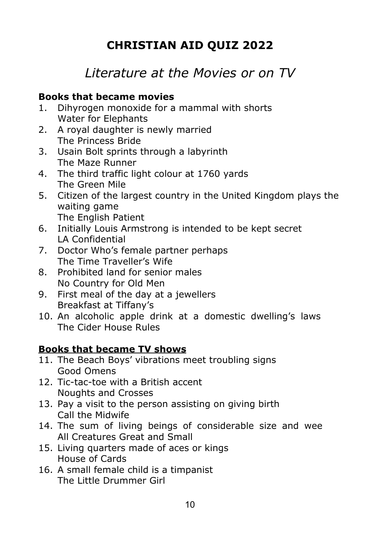#### **CHRISTIAN AID QUIZ 2022**

#### *Literature at the Movies or on TV*

#### **Books that became movies**

- 1. Dihyrogen monoxide for a mammal with shorts Water for Elephants
- 2. A royal daughter is newly married The Princess Bride
- 3. Usain Bolt sprints through a labyrinth The Maze Runner
- 4. The third traffic light colour at 1760 yards The Green Mile
- 5. Citizen of the largest country in the United Kingdom plays the waiting game The English Patient
- 6. Initially Louis Armstrong is intended to be kept secret LA Confidential
- 7. Doctor Who's female partner perhaps The Time Traveller's Wife
- 8. Prohibited land for senior males No Country for Old Men
- 9. First meal of the day at a jewellers Breakfast at Tiffany's
- 10. An alcoholic apple drink at a domestic dwelling's laws The Cider House Rules

#### **Books that became TV shows**

- 11. The Beach Boys' vibrations meet troubling signs Good Omens
- 12. Tic-tac-toe with a British accent Noughts and Crosses
- 13. Pay a visit to the person assisting on giving birth Call the Midwife
- 14. The sum of living beings of considerable size and wee All Creatures Great and Small
- 15. Living quarters made of aces or kings House of Cards
- 16. A small female child is a timpanist The Little Drummer Girl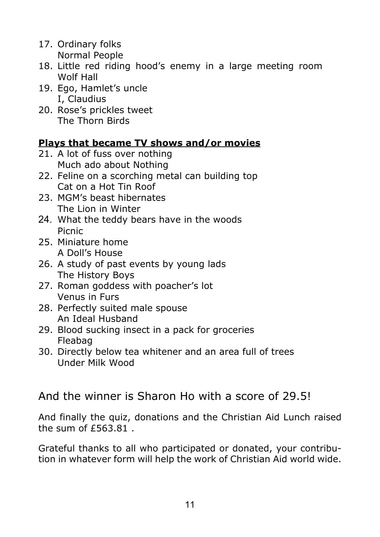- 17. Ordinary folks Normal People
- 18. Little red riding hood's enemy in a large meeting room Wolf Hall
- 19. Ego, Hamlet's uncle I, Claudius
- 20. Rose's prickles tweet The Thorn Birds

#### **Plays that became TV shows and/or movies**

- 21. A lot of fuss over nothing Much ado about Nothing
- 22. Feline on a scorching metal can building top Cat on a Hot Tin Roof
- 23. MGM's beast hibernates The Lion in Winter
- 24. What the teddy bears have in the woods Picnic
- 25. Miniature home A Doll's House
- 26. A study of past events by young lads The History Boys
- 27. Roman goddess with poacher's lot Venus in Furs
- 28. Perfectly suited male spouse An Ideal Husband
- 29. Blood sucking insect in a pack for groceries Fleabag
- 30. Directly below tea whitener and an area full of trees Under Milk Wood

And the winner is Sharon Ho with a score of 29.5!

And finally the quiz, donations and the Christian Aid Lunch raised the sum of £563.81 .

Grateful thanks to all who participated or donated, your contribution in whatever form will help the work of Christian Aid world wide.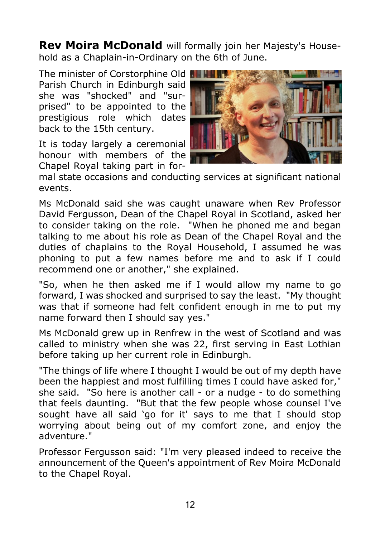**Rev Moira McDonald** will formally join her Majesty's Household as a Chaplain-in-Ordinary on the 6th of June.

The minister of Corstorphine Old Parish Church in Edinburgh said she was "shocked" and "surprised" to be appointed to the prestigious role which dates back to the 15th century.

It is today largely a ceremonial honour with members of the Chapel Royal taking part in for-



mal state occasions and conducting services at significant national events.

Ms McDonald said she was caught unaware when Rev Professor David Fergusson, Dean of the Chapel Royal in Scotland, asked her to consider taking on the role. "When he phoned me and began talking to me about his role as Dean of the Chapel Royal and the duties of chaplains to the Royal Household, I assumed he was phoning to put a few names before me and to ask if I could recommend one or another," she explained.

"So, when he then asked me if I would allow my name to go forward, I was shocked and surprised to say the least. "My thought was that if someone had felt confident enough in me to put my name forward then I should say yes."

Ms McDonald grew up in Renfrew in the west of Scotland and was called to ministry when she was 22, first serving in East Lothian before taking up her current role in Edinburgh.

"The things of life where I thought I would be out of my depth have been the happiest and most fulfilling times I could have asked for," she said. "So here is another call - or a nudge - to do something that feels daunting. "But that the few people whose counsel I've sought have all said 'go for it' says to me that I should stop worrying about being out of my comfort zone, and enjoy the adventure."

Professor Fergusson said: "I'm very pleased indeed to receive the announcement of the Queen's appointment of Rev Moira McDonald to the Chapel Royal.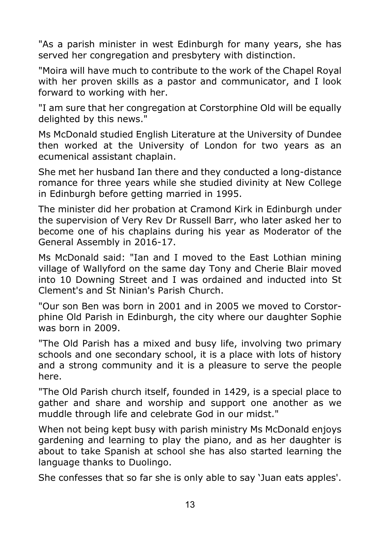"As a parish minister in west Edinburgh for many years, she has served her congregation and presbytery with distinction.

"Moira will have much to contribute to the work of the Chapel Royal with her proven skills as a pastor and communicator, and I look forward to working with her.

"I am sure that her congregation at Corstorphine Old will be equally delighted by this news."

Ms McDonald studied English Literature at the University of Dundee then worked at the University of London for two years as an ecumenical assistant chaplain.

She met her husband Ian there and they conducted a long-distance romance for three years while she studied divinity at New College in Edinburgh before getting married in 1995.

The minister did her probation at Cramond Kirk in Edinburgh under the supervision of Very Rev Dr Russell Barr, who later asked her to become one of his chaplains during his year as Moderator of the General Assembly in 2016-17.

Ms McDonald said: "Ian and I moved to the East Lothian mining village of Wallyford on the same day Tony and Cherie Blair moved into 10 Downing Street and I was ordained and inducted into St Clement's and St Ninian's Parish Church.

"Our son Ben was born in 2001 and in 2005 we moved to Corstorphine Old Parish in Edinburgh, the city where our daughter Sophie was born in 2009.

"The Old Parish has a mixed and busy life, involving two primary schools and one secondary school, it is a place with lots of history and a strong community and it is a pleasure to serve the people here.

"The Old Parish church itself, founded in 1429, is a special place to gather and share and worship and support one another as we muddle through life and celebrate God in our midst."

When not being kept busy with parish ministry Ms McDonald enjoys gardening and learning to play the piano, and as her daughter is about to take Spanish at school she has also started learning the language thanks to Duolingo.

She confesses that so far she is only able to say 'Juan eats apples'.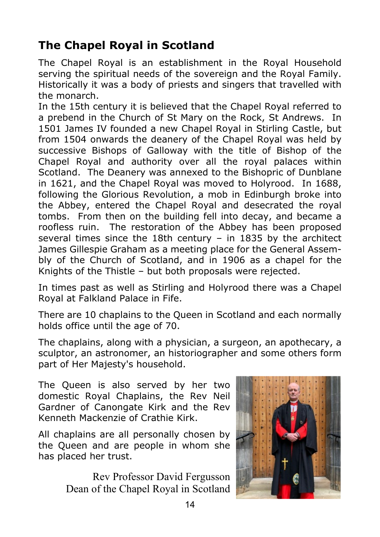#### **The Chapel Royal in Scotland**

The Chapel Royal is an establishment in the Royal Household serving the spiritual needs of the sovereign and the Royal Family. Historically it was a body of priests and singers that travelled with the monarch.

In the 15th century it is believed that the Chapel Royal referred to a prebend in the Church of St Mary on the Rock, St Andrews. In 1501 James IV founded a new Chapel Royal in Stirling Castle, but from 1504 onwards the deanery of the Chapel Royal was held by successive Bishops of Galloway with the title of Bishop of the Chapel Royal and authority over all the royal palaces within Scotland. The Deanery was annexed to the Bishopric of Dunblane in 1621, and the Chapel Royal was moved to Holyrood. In 1688, following the Glorious Revolution, a mob in Edinburgh broke into the Abbey, entered the Chapel Royal and desecrated the royal tombs. From then on the building fell into decay, and became a roofless ruin. The restoration of the Abbey has been proposed several times since the 18th century – in 1835 by the architect James Gillespie Graham as a meeting place for the General Assembly of the Church of Scotland, and in 1906 as a chapel for the Knights of the Thistle – but both proposals were rejected.

In times past as well as Stirling and Holyrood there was a Chapel Royal at Falkland Palace in Fife.

There are 10 chaplains to the Queen in Scotland and each normally holds office until the age of 70.

The chaplains, along with a physician, a surgeon, an apothecary, a sculptor, an astronomer, an historiographer and some others form part of Her Majesty's household.

The Queen is also served by her two domestic Royal Chaplains, the Rev Neil Gardner of Canongate Kirk and the Rev Kenneth Mackenzie of Crathie Kirk.

All chaplains are all personally chosen by the Queen and are people in whom she has placed her trust.

> Rev Professor David Fergusson Dean of the Chapel Royal in Scotland

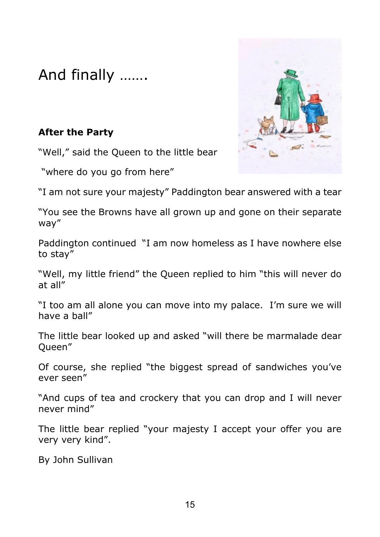And finally …….

#### **After the Party**

"Well," said the Queen to the little bear

"where do you go from here"



"I am not sure your majesty" Paddington bear answered with a tear

"You see the Browns have all grown up and gone on their separate way"

Paddington continued "I am now homeless as I have nowhere else to stay"

"Well, my little friend" the Queen replied to him "this will never do at all"

"I too am all alone you can move into my palace. I'm sure we will have a ball"

The little bear looked up and asked "will there be marmalade dear Queen"

Of course, she replied "the biggest spread of sandwiches you've ever seen"

"And cups of tea and crockery that you can drop and I will never never mind"

The little bear replied "your majesty I accept your offer you are very very kind".

By John Sullivan